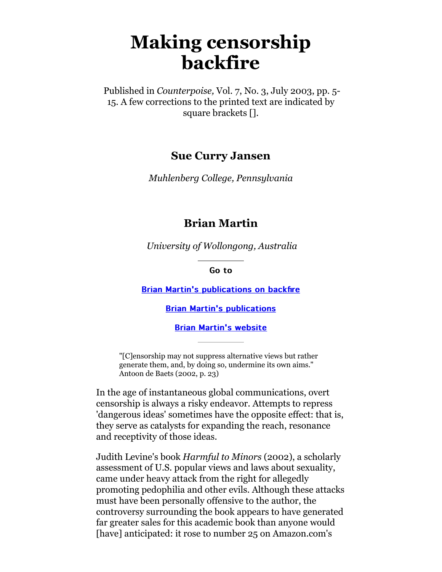# **Making censorship backfire**

 Published in *Counterpoise,* Vol. 7, No. 3, July 2003, pp. 5- 15. A few corrections to the printed text are indicated by square brackets [].

#### **Sue Curry Jansen**

*Muhlenberg College, Pennsylvania*

#### **Brian Martin**

*University of Wollongong, Australia*

Go to

**[Brian Martin's publications on backfire](http://www.bmartin.cc/pubs/backfire.html)** 

[Brian Martin's publications](http://www.bmartin.cc/pubs/)

[Brian Martin's website](http://www.bmartin.cc/)

"[C]ensorship may not suppress alternative views but rather generate them, and, by doing so, undermine its own aims." Antoon de Baets (2002, p. 23)

In the age of instantaneous global communications, overt censorship is always a risky endeavor. Attempts to repress 'dangerous ideas' sometimes have the opposite effect: that is, they serve as catalysts for expanding the reach, resonance and receptivity of those ideas.

Judith Levine's book *Harmful to Minors* (2002), a scholarly assessment of U.S. popular views and laws about sexuality, came under heavy attack from the right for allegedly promoting pedophilia and other evils. Although these attacks must have been personally offensive to the author, the controversy surrounding the book appears to have generated far greater sales for this academic book than anyone would [have] anticipated: it rose to number 25 on Amazon.com's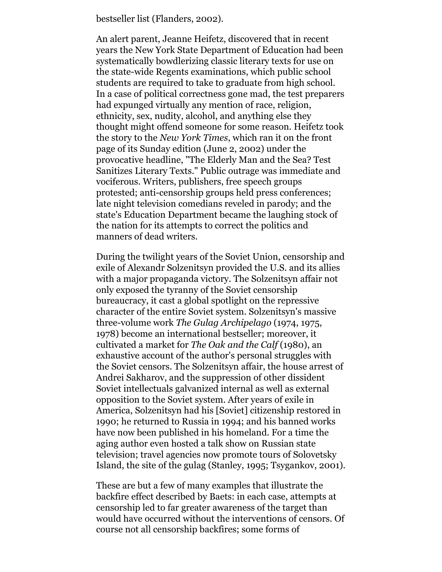bestseller list (Flanders, 2002).

An alert parent, Jeanne Heifetz, discovered that in recent years the New York State Department of Education had been systematically bowdlerizing classic literary texts for use on the state-wide Regents examinations, which public school students are required to take to graduate from high school. In a case of political correctness gone mad, the test preparers had expunged virtually any mention of race, religion, ethnicity, sex, nudity, alcohol, and anything else they thought might offend someone for some reason. Heifetz took the story to the *New York Times*, which ran it on the front page of its Sunday edition (June 2, 2002) under the provocative headline, "The Elderly Man and the Sea? Test Sanitizes Literary Texts." Public outrage was immediate and vociferous. Writers, publishers, free speech groups protested; anti-censorship groups held press conferences; late night television comedians reveled in parody; and the state's Education Department became the laughing stock of the nation for its attempts to correct the politics and manners of dead writers.

During the twilight years of the Soviet Union, censorship and exile of Alexandr Solzenitsyn provided the U.S. and its allies with a major propaganda victory. The Solzenitsyn affair not only exposed the tyranny of the Soviet censorship bureaucracy, it cast a global spotlight on the repressive character of the entire Soviet system. Solzenitsyn's massive three-volume work *The Gulag Archipelago* (1974, 1975, 1978) become an international bestseller; moreover, it cultivated a market for *The Oak and the Calf* (1980), an exhaustive account of the author's personal struggles with the Soviet censors. The Solzenitsyn affair, the house arrest of Andrei Sakharov, and the suppression of other dissident Soviet intellectuals galvanized internal as well as external opposition to the Soviet system. After years of exile in America, Solzenitsyn had his [Soviet] citizenship restored in 1990; he returned to Russia in 1994; and his banned works have now been published in his homeland. For a time the aging author even hosted a talk show on Russian state television; travel agencies now promote tours of Solovetsky Island, the site of the gulag (Stanley, 1995; Tsygankov, 2001).

These are but a few of many examples that illustrate the backfire effect described by Baets: in each case, attempts at censorship led to far greater awareness of the target than would have occurred without the interventions of censors. Of course not all censorship backfires; some forms of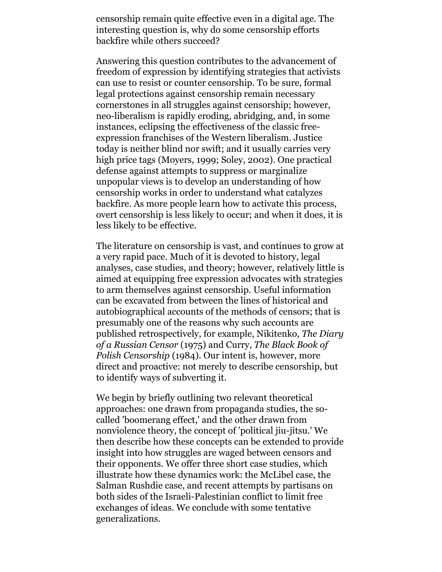censorship remain quite effective even in a digital age. The interesting question is, why do some censorship efforts backfire while others succeed?

Answering this question contributes to the advancement of freedom of expression by identifying strategies that activists can use to resist or counter censorship. To be sure, formal legal protections against censorship remain necessary cornerstones in all struggles against censorship; however, neo-liberalism is rapidly eroding, abridging, and, in some instances, eclipsing the effectiveness of the classic freeexpression franchises of the Western liberalism. Justice today is neither blind nor swift; and it usually carries very high price tags (Moyers, 1999; Soley, 2002). One practical defense against attempts to suppress or marginalize unpopular views is to develop an understanding of how censorship works in order to understand what catalyzes backfire. As more people learn how to activate this process, overt censorship is less likely to occur; and when it does, it is less likely to be effective.

The literature on censorship is vast, and continues to grow at a very rapid pace. Much of it is devoted to history, legal analyses, case studies, and theory; however, relatively little is aimed at equipping free expression advocates with strategies to arm themselves against censorship. Useful information can be excavated from between the lines of historical and autobiographical accounts of the methods of censors; that is presumably one of the reasons why such accounts are published retrospectively, for example, Nikitenko, *The Diary of a Russian Censor* (1975) and Curry, *The Black Book of Polish Censorship* (1984). Our intent is, however, more direct and proactive: not merely to describe censorship, but to identify ways of subverting it.

We begin by briefly outlining two relevant theoretical approaches: one drawn from propaganda studies, the socalled 'boomerang effect,' and the other drawn from nonviolence theory, the concept of 'political jiu-jitsu.' We then describe how these concepts can be extended to provide insight into how struggles are waged between censors and their opponents. We offer three short case studies, which illustrate how these dynamics work: the McLibel case, the Salman Rushdie case, and recent attempts by partisans on both sides of the Israeli-Palestinian conflict to limit free exchanges of ideas. We conclude with some tentative generalizations.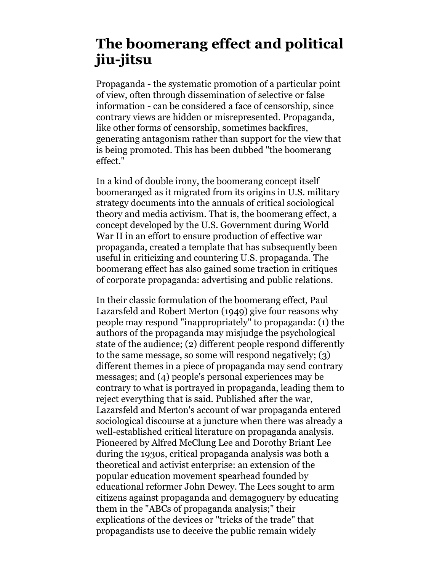# **The boomerang effect and political jiu-jitsu**

Propaganda - the systematic promotion of a particular point of view, often through dissemination of selective or false information - can be considered a face of censorship, since contrary views are hidden or misrepresented. Propaganda, like other forms of censorship, sometimes backfires, generating antagonism rather than support for the view that is being promoted. This has been dubbed "the boomerang effect."

In a kind of double irony, the boomerang concept itself boomeranged as it migrated from its origins in U.S. military strategy documents into the annuals of critical sociological theory and media activism. That is, the boomerang effect, a concept developed by the U.S. Government during World War II in an effort to ensure production of effective war propaganda, created a template that has subsequently been useful in criticizing and countering U.S. propaganda. The boomerang effect has also gained some traction in critiques of corporate propaganda: advertising and public relations.

In their classic formulation of the boomerang effect, Paul Lazarsfeld and Robert Merton (1949) give four reasons why people may respond "inappropriately" to propaganda: (1) the authors of the propaganda may misjudge the psychological state of the audience; (2) different people respond differently to the same message, so some will respond negatively; (3) different themes in a piece of propaganda may send contrary messages; and (4) people's personal experiences may be contrary to what is portrayed in propaganda, leading them to reject everything that is said. Published after the war, Lazarsfeld and Merton's account of war propaganda entered sociological discourse at a juncture when there was already a well-established critical literature on propaganda analysis. Pioneered by Alfred McClung Lee and Dorothy Briant Lee during the 1930s, critical propaganda analysis was both a theoretical and activist enterprise: an extension of the popular education movement spearhead founded by educational reformer John Dewey. The Lees sought to arm citizens against propaganda and demagoguery by educating them in the "ABCs of propaganda analysis;" their explications of the devices or "tricks of the trade" that propagandists use to deceive the public remain widely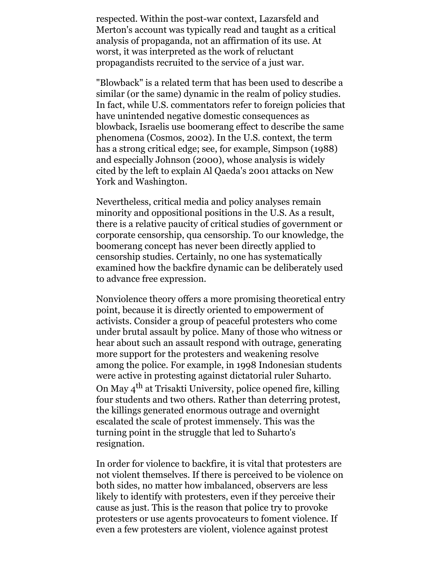respected. Within the post-war context, Lazarsfeld and Merton's account was typically read and taught as a critical analysis of propaganda, not an affirmation of its use. At worst, it was interpreted as the work of reluctant propagandists recruited to the service of a just war.

"Blowback" is a related term that has been used to describe a similar (or the same) dynamic in the realm of policy studies. In fact, while U.S. commentators refer to foreign policies that have unintended negative domestic consequences as blowback, Israelis use boomerang effect to describe the same phenomena (Cosmos, 2002). In the U.S. context, the term has a strong critical edge; see, for example, Simpson (1988) and especially Johnson (2000), whose analysis is widely cited by the left to explain Al Qaeda's 2001 attacks on New York and Washington.

Nevertheless, critical media and policy analyses remain minority and oppositional positions in the U.S. As a result, there is a relative paucity of critical studies of government or corporate censorship, qua censorship. To our knowledge, the boomerang concept has never been directly applied to censorship studies. Certainly, no one has systematically examined how the backfire dynamic can be deliberately used to advance free expression.

Nonviolence theory offers a more promising theoretical entry point, because it is directly oriented to empowerment of activists. Consider a group of peaceful protesters who come under brutal assault by police. Many of those who witness or hear about such an assault respond with outrage, generating more support for the protesters and weakening resolve among the police. For example, in 1998 Indonesian students were active in protesting against dictatorial ruler Suharto. On May 4th at Trisakti University, police opened fire, killing four students and two others. Rather than deterring protest, the killings generated enormous outrage and overnight escalated the scale of protest immensely. This was the turning point in the struggle that led to Suharto's resignation.

In order for violence to backfire, it is vital that protesters are not violent themselves. If there is perceived to be violence on both sides, no matter how imbalanced, observers are less likely to identify with protesters, even if they perceive their cause as just. This is the reason that police try to provoke protesters or use agents provocateurs to foment violence. If even a few protesters are violent, violence against protest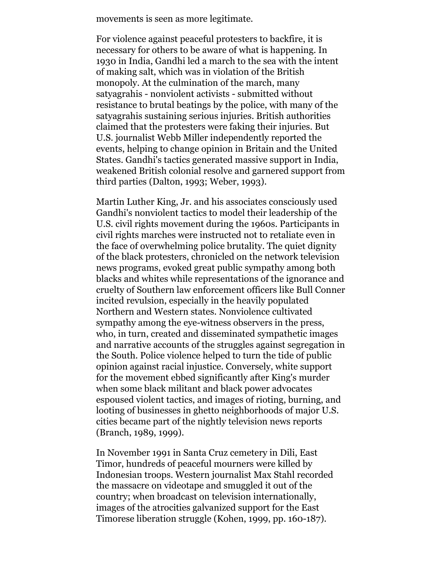movements is seen as more legitimate.

For violence against peaceful protesters to backfire, it is necessary for others to be aware of what is happening. In 1930 in India, Gandhi led a march to the sea with the intent of making salt, which was in violation of the British monopoly. At the culmination of the march, many satyagrahis - nonviolent activists - submitted without resistance to brutal beatings by the police, with many of the satyagrahis sustaining serious injuries. British authorities claimed that the protesters were faking their injuries. But U.S. journalist Webb Miller independently reported the events, helping to change opinion in Britain and the United States. Gandhi's tactics generated massive support in India, weakened British colonial resolve and garnered support from third parties (Dalton, 1993; Weber, 1993).

Martin Luther King, Jr. and his associates consciously used Gandhi's nonviolent tactics to model their leadership of the U.S. civil rights movement during the 1960s. Participants in civil rights marches were instructed not to retaliate even in the face of overwhelming police brutality. The quiet dignity of the black protesters, chronicled on the network television news programs, evoked great public sympathy among both blacks and whites while representations of the ignorance and cruelty of Southern law enforcement officers like Bull Conner incited revulsion, especially in the heavily populated Northern and Western states. Nonviolence cultivated sympathy among the eye-witness observers in the press, who, in turn, created and disseminated sympathetic images and narrative accounts of the struggles against segregation in the South. Police violence helped to turn the tide of public opinion against racial injustice. Conversely, white support for the movement ebbed significantly after King's murder when some black militant and black power advocates espoused violent tactics, and images of rioting, burning, and looting of businesses in ghetto neighborhoods of major U.S. cities became part of the nightly television news reports (Branch, 1989, 1999).

In November 1991 in Santa Cruz cemetery in Dili, East Timor, hundreds of peaceful mourners were killed by Indonesian troops. Western journalist Max Stahl recorded the massacre on videotape and smuggled it out of the country; when broadcast on television internationally, images of the atrocities galvanized support for the East Timorese liberation struggle (Kohen, 1999, pp. 160-187).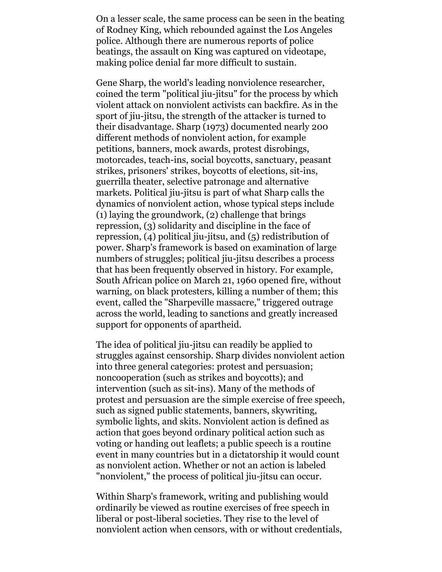On a lesser scale, the same process can be seen in the beating of Rodney King, which rebounded against the Los Angeles police. Although there are numerous reports of police beatings, the assault on King was captured on videotape, making police denial far more difficult to sustain.

Gene Sharp, the world's leading nonviolence researcher, coined the term "political jiu-jitsu" for the process by which violent attack on nonviolent activists can backfire. As in the sport of jiu-jitsu, the strength of the attacker is turned to their disadvantage. Sharp (1973) documented nearly 200 different methods of nonviolent action, for example petitions, banners, mock awards, protest disrobings, motorcades, teach-ins, social boycotts, sanctuary, peasant strikes, prisoners' strikes, boycotts of elections, sit-ins, guerrilla theater, selective patronage and alternative markets. Political jiu-jitsu is part of what Sharp calls the dynamics of nonviolent action, whose typical steps include (1) laying the groundwork, (2) challenge that brings repression, (3) solidarity and discipline in the face of repression, (4) political jiu-jitsu, and (5) redistribution of power. Sharp's framework is based on examination of large numbers of struggles; political jiu-jitsu describes a process that has been frequently observed in history. For example, South African police on March 21, 1960 opened fire, without warning, on black protesters, killing a number of them; this event, called the "Sharpeville massacre," triggered outrage across the world, leading to sanctions and greatly increased support for opponents of apartheid.

The idea of political jiu-jitsu can readily be applied to struggles against censorship. Sharp divides nonviolent action into three general categories: protest and persuasion; noncooperation (such as strikes and boycotts); and intervention (such as sit-ins). Many of the methods of protest and persuasion are the simple exercise of free speech, such as signed public statements, banners, skywriting, symbolic lights, and skits. Nonviolent action is defined as action that goes beyond ordinary political action such as voting or handing out leaflets; a public speech is a routine event in many countries but in a dictatorship it would count as nonviolent action. Whether or not an action is labeled "nonviolent," the process of political jiu-jitsu can occur.

Within Sharp's framework, writing and publishing would ordinarily be viewed as routine exercises of free speech in liberal or post-liberal societies. They rise to the level of nonviolent action when censors, with or without credentials,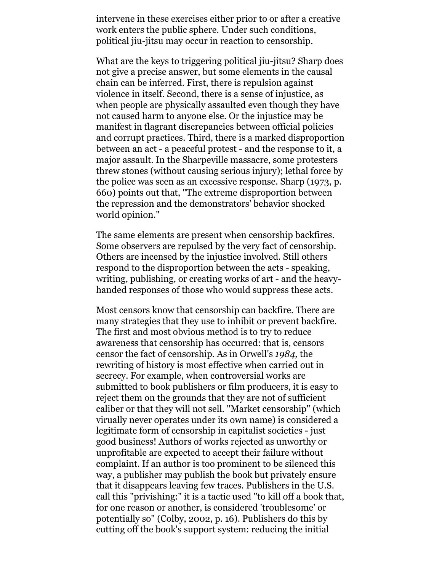intervene in these exercises either prior to or after a creative work enters the public sphere. Under such conditions, political jiu-jitsu may occur in reaction to censorship.

What are the keys to triggering political jiu-jitsu? Sharp does not give a precise answer, but some elements in the causal chain can be inferred. First, there is repulsion against violence in itself. Second, there is a sense of injustice, as when people are physically assaulted even though they have not caused harm to anyone else. Or the injustice may be manifest in flagrant discrepancies between official policies and corrupt practices. Third, there is a marked disproportion between an act - a peaceful protest - and the response to it, a major assault. In the Sharpeville massacre, some protesters threw stones (without causing serious injury); lethal force by the police was seen as an excessive response. Sharp (1973, p. 660) points out that, "The extreme disproportion between the repression and the demonstrators' behavior shocked world opinion."

The same elements are present when censorship backfires. Some observers are repulsed by the very fact of censorship. Others are incensed by the injustice involved. Still others respond to the disproportion between the acts - speaking, writing, publishing, or creating works of art - and the heavyhanded responses of those who would suppress these acts.

Most censors know that censorship can backfire. There are many strategies that they use to inhibit or prevent backfire. The first and most obvious method is to try to reduce awareness that censorship has occurred: that is, censors censor the fact of censorship. As in Orwell's *1984,* the rewriting of history is most effective when carried out in secrecy. For example, when controversial works are submitted to book publishers or film producers, it is easy to reject them on the grounds that they are not of sufficient caliber or that they will not sell. "Market censorship" (which virually never operates under its own name) is considered a legitimate form of censorship in capitalist societies - just good business! Authors of works rejected as unworthy or unprofitable are expected to accept their failure without complaint. If an author is too prominent to be silenced this way, a publisher may publish the book but privately ensure that it disappears leaving few traces. Publishers in the U.S. call this "privishing:" it is a tactic used "to kill off a book that, for one reason or another, is considered 'troublesome' or potentially so" (Colby, 2002, p. 16). Publishers do this by cutting off the book's support system: reducing the initial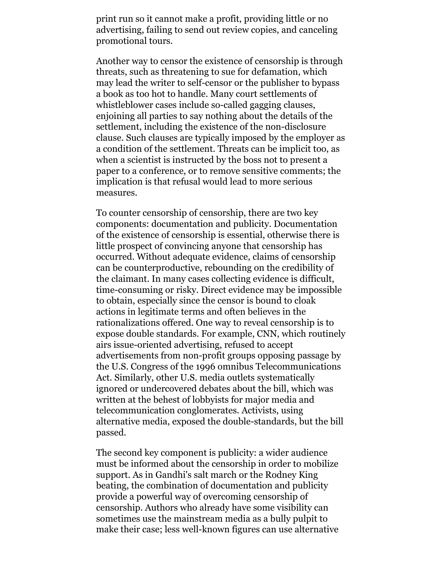print run so it cannot make a profit, providing little or no advertising, failing to send out review copies, and canceling promotional tours.

Another way to censor the existence of censorship is through threats, such as threatening to sue for defamation, which may lead the writer to self-censor or the publisher to bypass a book as too hot to handle. Many court settlements of whistleblower cases include so-called gagging clauses, enjoining all parties to say nothing about the details of the settlement, including the existence of the non-disclosure clause. Such clauses are typically imposed by the employer as a condition of the settlement. Threats can be implicit too, as when a scientist is instructed by the boss not to present a paper to a conference, or to remove sensitive comments; the implication is that refusal would lead to more serious measures.

To counter censorship of censorship, there are two key components: documentation and publicity. Documentation of the existence of censorship is essential, otherwise there is little prospect of convincing anyone that censorship has occurred. Without adequate evidence, claims of censorship can be counterproductive, rebounding on the credibility of the claimant. In many cases collecting evidence is difficult, time-consuming or risky. Direct evidence may be impossible to obtain, especially since the censor is bound to cloak actions in legitimate terms and often believes in the rationalizations offered. One way to reveal censorship is to expose double standards. For example, CNN, which routinely airs issue-oriented advertising, refused to accept advertisements from non-profit groups opposing passage by the U.S. Congress of the 1996 omnibus Telecommunications Act. Similarly, other U.S. media outlets systematically ignored or undercovered debates about the bill, which was written at the behest of lobbyists for major media and telecommunication conglomerates. Activists, using alternative media, exposed the double-standards, but the bill passed.

The second key component is publicity: a wider audience must be informed about the censorship in order to mobilize support. As in Gandhi's salt march or the Rodney King beating, the combination of documentation and publicity provide a powerful way of overcoming censorship of censorship. Authors who already have some visibility can sometimes use the mainstream media as a bully pulpit to make their case; less well-known figures can use alternative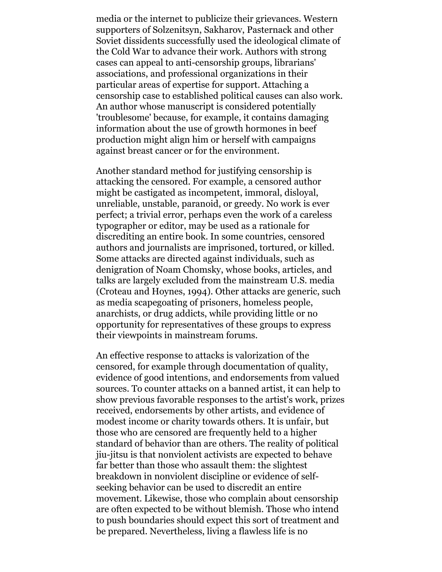media or the internet to publicize their grievances. Western supporters of Solzenitsyn, Sakharov, Pasternack and other Soviet dissidents successfully used the ideological climate of the Cold War to advance their work. Authors with strong cases can appeal to anti-censorship groups, librarians' associations, and professional organizations in their particular areas of expertise for support. Attaching a censorship case to established political causes can also work. An author whose manuscript is considered potentially 'troublesome' because, for example, it contains damaging information about the use of growth hormones in beef production might align him or herself with campaigns against breast cancer or for the environment.

Another standard method for justifying censorship is attacking the censored. For example, a censored author might be castigated as incompetent, immoral, disloyal, unreliable, unstable, paranoid, or greedy. No work is ever perfect; a trivial error, perhaps even the work of a careless typographer or editor, may be used as a rationale for discrediting an entire book. In some countries, censored authors and journalists are imprisoned, tortured, or killed. Some attacks are directed against individuals, such as denigration of Noam Chomsky, whose books, articles, and talks are largely excluded from the mainstream U.S. media (Croteau and Hoynes, 1994). Other attacks are generic, such as media scapegoating of prisoners, homeless people, anarchists, or drug addicts, while providing little or no opportunity for representatives of these groups to express their viewpoints in mainstream forums.

An effective response to attacks is valorization of the censored, for example through documentation of quality, evidence of good intentions, and endorsements from valued sources. To counter attacks on a banned artist, it can help to show previous favorable responses to the artist's work, prizes received, endorsements by other artists, and evidence of modest income or charity towards others. It is unfair, but those who are censored are frequently held to a higher standard of behavior than are others. The reality of political jiu-jitsu is that nonviolent activists are expected to behave far better than those who assault them: the slightest breakdown in nonviolent discipline or evidence of selfseeking behavior can be used to discredit an entire movement. Likewise, those who complain about censorship are often expected to be without blemish. Those who intend to push boundaries should expect this sort of treatment and be prepared. Nevertheless, living a flawless life is no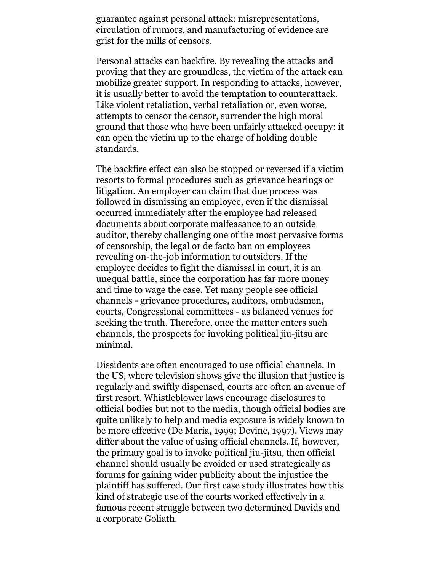guarantee against personal attack: misrepresentations, circulation of rumors, and manufacturing of evidence are grist for the mills of censors.

Personal attacks can backfire. By revealing the attacks and proving that they are groundless, the victim of the attack can mobilize greater support. In responding to attacks, however, it is usually better to avoid the temptation to counterattack. Like violent retaliation, verbal retaliation or, even worse, attempts to censor the censor, surrender the high moral ground that those who have been unfairly attacked occupy: it can open the victim up to the charge of holding double standards.

The backfire effect can also be stopped or reversed if a victim resorts to formal procedures such as grievance hearings or litigation. An employer can claim that due process was followed in dismissing an employee, even if the dismissal occurred immediately after the employee had released documents about corporate malfeasance to an outside auditor, thereby challenging one of the most pervasive forms of censorship, the legal or de facto ban on employees revealing on-the-job information to outsiders. If the employee decides to fight the dismissal in court, it is an unequal battle, since the corporation has far more money and time to wage the case. Yet many people see official channels - grievance procedures, auditors, ombudsmen, courts, Congressional committees - as balanced venues for seeking the truth. Therefore, once the matter enters such channels, the prospects for invoking political jiu-jitsu are minimal.

Dissidents are often encouraged to use official channels. In the US, where television shows give the illusion that justice is regularly and swiftly dispensed, courts are often an avenue of first resort. Whistleblower laws encourage disclosures to official bodies but not to the media, though official bodies are quite unlikely to help and media exposure is widely known to be more effective (De Maria, 1999; Devine, 1997). Views may differ about the value of using official channels. If, however, the primary goal is to invoke political jiu-jitsu, then official channel should usually be avoided or used strategically as forums for gaining wider publicity about the injustice the plaintiff has suffered. Our first case study illustrates how this kind of strategic use of the courts worked effectively in a famous recent struggle between two determined Davids and a corporate Goliath.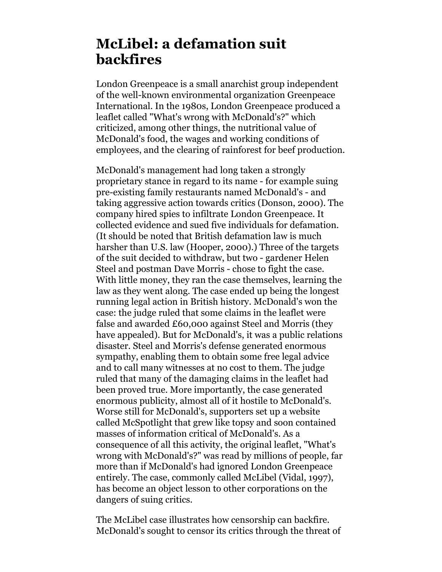## **McLibel: a defamation suit backfires**

London Greenpeace is a small anarchist group independent of the well-known environmental organization Greenpeace International. In the 1980s, London Greenpeace produced a leaflet called "What's wrong with McDonald's?" which criticized, among other things, the nutritional value of McDonald's food, the wages and working conditions of employees, and the clearing of rainforest for beef production.

McDonald's management had long taken a strongly proprietary stance in regard to its name - for example suing pre-existing family restaurants named McDonald's - and taking aggressive action towards critics (Donson, 2000). The company hired spies to infiltrate London Greenpeace. It collected evidence and sued five individuals for defamation. (It should be noted that British defamation law is much harsher than U.S. law (Hooper, 2000).) Three of the targets of the suit decided to withdraw, but two - gardener Helen Steel and postman Dave Morris - chose to fight the case. With little money, they ran the case themselves, learning the law as they went along. The case ended up being the longest running legal action in British history. McDonald's won the case: the judge ruled that some claims in the leaflet were false and awarded £60,000 against Steel and Morris (they have appealed). But for McDonald's, it was a public relations disaster. Steel and Morris's defense generated enormous sympathy, enabling them to obtain some free legal advice and to call many witnesses at no cost to them. The judge ruled that many of the damaging claims in the leaflet had been proved true. More importantly, the case generated enormous publicity, almost all of it hostile to McDonald's. Worse still for McDonald's, supporters set up a website called McSpotlight that grew like topsy and soon contained masses of information critical of McDonald's. As a consequence of all this activity, the original leaflet, "What's wrong with McDonald's?" was read by millions of people, far more than if McDonald's had ignored London Greenpeace entirely. The case, commonly called McLibel (Vidal, 1997), has become an object lesson to other corporations on the dangers of suing critics.

The McLibel case illustrates how censorship can backfire. McDonald's sought to censor its critics through the threat of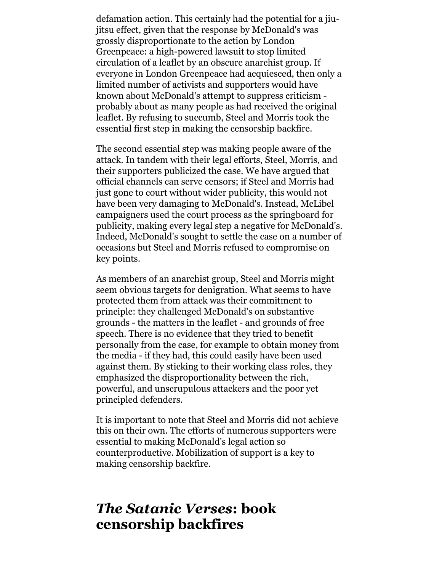defamation action. This certainly had the potential for a jiujitsu effect, given that the response by McDonald's was grossly disproportionate to the action by London Greenpeace: a high-powered lawsuit to stop limited circulation of a leaflet by an obscure anarchist group. If everyone in London Greenpeace had acquiesced, then only a limited number of activists and supporters would have known about McDonald's attempt to suppress criticism probably about as many people as had received the original leaflet. By refusing to succumb, Steel and Morris took the essential first step in making the censorship backfire.

The second essential step was making people aware of the attack. In tandem with their legal efforts, Steel, Morris, and their supporters publicized the case. We have argued that official channels can serve censors; if Steel and Morris had just gone to court without wider publicity, this would not have been very damaging to McDonald's. Instead, McLibel campaigners used the court process as the springboard for publicity, making every legal step a negative for McDonald's. Indeed, McDonald's sought to settle the case on a number of occasions but Steel and Morris refused to compromise on key points.

As members of an anarchist group, Steel and Morris might seem obvious targets for denigration. What seems to have protected them from attack was their commitment to principle: they challenged McDonald's on substantive grounds - the matters in the leaflet - and grounds of free speech. There is no evidence that they tried to benefit personally from the case, for example to obtain money from the media - if they had, this could easily have been used against them. By sticking to their working class roles, they emphasized the disproportionality between the rich, powerful, and unscrupulous attackers and the poor yet principled defenders.

It is important to note that Steel and Morris did not achieve this on their own. The efforts of numerous supporters were essential to making McDonald's legal action so counterproductive. Mobilization of support is a key to making censorship backfire.

#### *The Satanic Verses***: book censorship backfires**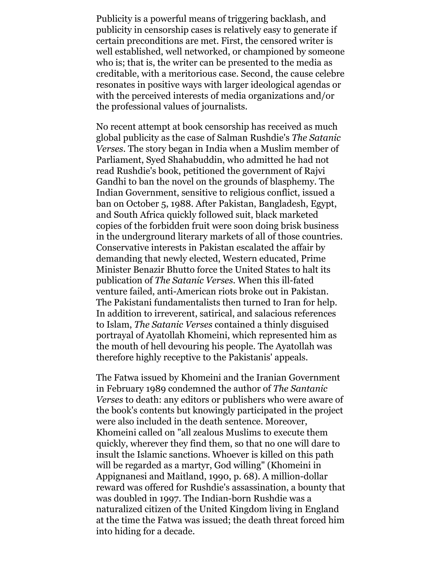Publicity is a powerful means of triggering backlash, and publicity in censorship cases is relatively easy to generate if certain preconditions are met. First, the censored writer is well established, well networked, or championed by someone who is; that is, the writer can be presented to the media as creditable, with a meritorious case. Second, the cause celebre resonates in positive ways with larger ideological agendas or with the perceived interests of media organizations and/or the professional values of journalists.

No recent attempt at book censorship has received as much global publicity as the case of Salman Rushdie's *The Satanic Verses*. The story began in India when a Muslim member of Parliament, Syed Shahabuddin, who admitted he had not read Rushdie's book, petitioned the government of Rajvi Gandhi to ban the novel on the grounds of blasphemy. The Indian Government, sensitive to religious conflict, issued a ban on October 5, 1988. After Pakistan, Bangladesh, Egypt, and South Africa quickly followed suit, black marketed copies of the forbidden fruit were soon doing brisk business in the underground literary markets of all of those countries. Conservative interests in Pakistan escalated the affair by demanding that newly elected, Western educated, Prime Minister Benazir Bhutto force the United States to halt its publication of *The Satanic Verses.* When this ill-fated venture failed, anti-American riots broke out in Pakistan. The Pakistani fundamentalists then turned to Iran for help. In addition to irreverent, satirical, and salacious references to Islam, *The Satanic Verses* contained a thinly disguised portrayal of Ayatollah Khomeini, which represented him as the mouth of hell devouring his people. The Ayatollah was therefore highly receptive to the Pakistanis' appeals.

The Fatwa issued by Khomeini and the Iranian Government in February 1989 condemned the author of *The Santanic Verses* to death: any editors or publishers who were aware of the book's contents but knowingly participated in the project were also included in the death sentence. Moreover, Khomeini called on "all zealous Muslims to execute them quickly, wherever they find them, so that no one will dare to insult the Islamic sanctions. Whoever is killed on this path will be regarded as a martyr, God willing" (Khomeini in Appignanesi and Maitland, 1990, p. 68). A million-dollar reward was offered for Rushdie's assassination, a bounty that was doubled in 1997. The Indian-born Rushdie was a naturalized citizen of the United Kingdom living in England at the time the Fatwa was issued; the death threat forced him into hiding for a decade.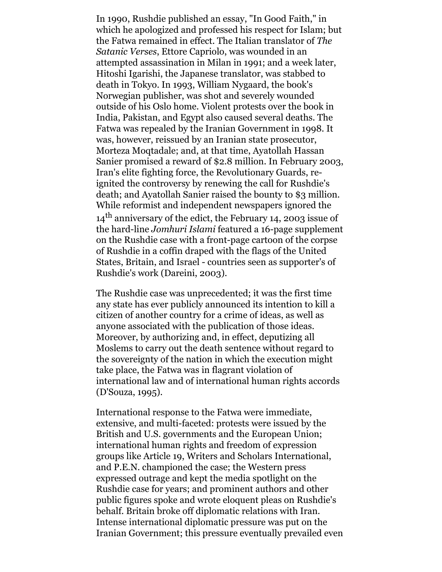In 1990, Rushdie published an essay, "In Good Faith," in which he apologized and professed his respect for Islam; but the Fatwa remained in effect. The Italian translator of *The Satanic Verses*, Ettore Capriolo, was wounded in an attempted assassination in Milan in 1991; and a week later, Hitoshi Igarishi, the Japanese translator, was stabbed to death in Tokyo. In 1993, William Nygaard, the book's Norwegian publisher, was shot and severely wounded outside of his Oslo home. Violent protests over the book in India, Pakistan, and Egypt also caused several deaths. The Fatwa was repealed by the Iranian Government in 1998. It was, however, reissued by an Iranian state prosecutor, Morteza Moqtadale; and, at that time, Ayatollah Hassan Sanier promised a reward of \$2.8 million. In February 2003, Iran's elite fighting force, the Revolutionary Guards, reignited the controversy by renewing the call for Rushdie's death; and Ayatollah Sanier raised the bounty to \$3 million. While reformist and independent newspapers ignored the 14<sup>th</sup> anniversary of the edict, the February 14, 2003 issue of the hard-line *Jomhuri Islami* featured a 16-page supplement on the Rushdie case with a front-page cartoon of the corpse of Rushdie in a coffin draped with the flags of the United States, Britain, and Israel - countries seen as supporter's of Rushdie's work (Dareini, 2003).

The Rushdie case was unprecedented; it was the first time any state has ever publicly announced its intention to kill a citizen of another country for a crime of ideas, as well as anyone associated with the publication of those ideas. Moreover, by authorizing and, in effect, deputizing all Moslems to carry out the death sentence without regard to the sovereignty of the nation in which the execution might take place, the Fatwa was in flagrant violation of international law and of international human rights accords (D'Souza, 1995).

International response to the Fatwa were immediate, extensive, and multi-faceted: protests were issued by the British and U.S. governments and the European Union; international human rights and freedom of expression groups like Article 19, Writers and Scholars International, and P.E.N. championed the case; the Western press expressed outrage and kept the media spotlight on the Rushdie case for years; and prominent authors and other public figures spoke and wrote eloquent pleas on Rushdie's behalf. Britain broke off diplomatic relations with Iran. Intense international diplomatic pressure was put on the Iranian Government; this pressure eventually prevailed even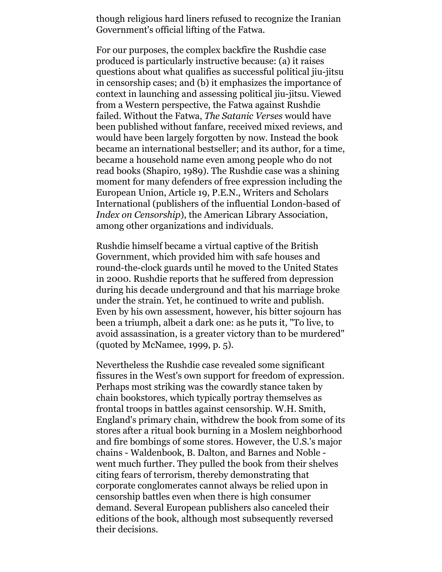though religious hard liners refused to recognize the Iranian Government's official lifting of the Fatwa.

For our purposes, the complex backfire the Rushdie case produced is particularly instructive because: (a) it raises questions about what qualifies as successful political jiu-jitsu in censorship cases; and (b) it emphasizes the importance of context in launching and assessing political jiu-jitsu. Viewed from a Western perspective, the Fatwa against Rushdie failed. Without the Fatwa, *The Satanic Verses* would have been published without fanfare, received mixed reviews, and would have been largely forgotten by now. Instead the book became an international bestseller; and its author, for a time, became a household name even among people who do not read books (Shapiro, 1989). The Rushdie case was a shining moment for many defenders of free expression including the European Union, Article 19, P.E.N., Writers and Scholars International (publishers of the influential London-based of *Index on Censorship*), the American Library Association, among other organizations and individuals.

Rushdie himself became a virtual captive of the British Government, which provided him with safe houses and round-the-clock guards until he moved to the United States in 2000. Rushdie reports that he suffered from depression during his decade underground and that his marriage broke under the strain. Yet, he continued to write and publish. Even by his own assessment, however, his bitter sojourn has been a triumph, albeit a dark one: as he puts it, "To live, to avoid assassination, is a greater victory than to be murdered" (quoted by McNamee, 1999, p. 5).

Nevertheless the Rushdie case revealed some significant fissures in the West's own support for freedom of expression. Perhaps most striking was the cowardly stance taken by chain bookstores, which typically portray themselves as frontal troops in battles against censorship. W.H. Smith, England's primary chain, withdrew the book from some of its stores after a ritual book burning in a Moslem neighborhood and fire bombings of some stores. However, the U.S.'s major chains - Waldenbook, B. Dalton, and Barnes and Noble went much further. They pulled the book from their shelves citing fears of terrorism, thereby demonstrating that corporate conglomerates cannot always be relied upon in censorship battles even when there is high consumer demand. Several European publishers also canceled their editions of the book, although most subsequently reversed their decisions.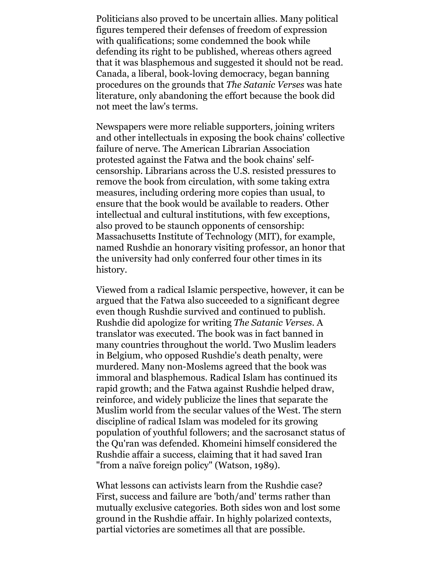Politicians also proved to be uncertain allies. Many political figures tempered their defenses of freedom of expression with qualifications; some condemned the book while defending its right to be published, whereas others agreed that it was blasphemous and suggested it should not be read. Canada, a liberal, book-loving democracy, began banning procedures on the grounds that *The Satanic Verses* was hate literature, only abandoning the effort because the book did not meet the law's terms.

Newspapers were more reliable supporters, joining writers and other intellectuals in exposing the book chains' collective failure of nerve. The American Librarian Association protested against the Fatwa and the book chains' selfcensorship. Librarians across the U.S. resisted pressures to remove the book from circulation, with some taking extra measures, including ordering more copies than usual, to ensure that the book would be available to readers. Other intellectual and cultural institutions, with few exceptions, also proved to be staunch opponents of censorship: Massachusetts Institute of Technology (MIT), for example, named Rushdie an honorary visiting professor, an honor that the university had only conferred four other times in its history.

Viewed from a radical Islamic perspective, however, it can be argued that the Fatwa also succeeded to a significant degree even though Rushdie survived and continued to publish. Rushdie did apologize for writing *The Satanic Verses*. A translator was executed. The book was in fact banned in many countries throughout the world. Two Muslim leaders in Belgium, who opposed Rushdie's death penalty, were murdered. Many non-Moslems agreed that the book was immoral and blasphemous. Radical Islam has continued its rapid growth; and the Fatwa against Rushdie helped draw, reinforce, and widely publicize the lines that separate the Muslim world from the secular values of the West. The stern discipline of radical Islam was modeled for its growing population of youthful followers; and the sacrosanct status of the Qu'ran was defended. Khomeini himself considered the Rushdie affair a success, claiming that it had saved Iran "from a naïve foreign policy" (Watson, 1989).

What lessons can activists learn from the Rushdie case? First, success and failure are 'both/and' terms rather than mutually exclusive categories. Both sides won and lost some ground in the Rushdie affair. In highly polarized contexts, partial victories are sometimes all that are possible.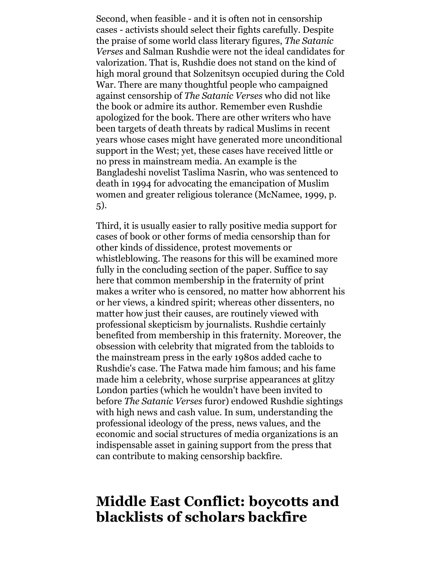Second, when feasible - and it is often not in censorship cases - activists should select their fights carefully. Despite the praise of some world class literary figures, *The Satanic Verses* and Salman Rushdie were not the ideal candidates for valorization. That is, Rushdie does not stand on the kind of high moral ground that Solzenitsyn occupied during the Cold War. There are many thoughtful people who campaigned against censorship of *The Satanic Verses* who did not like the book or admire its author. Remember even Rushdie apologized for the book. There are other writers who have been targets of death threats by radical Muslims in recent years whose cases might have generated more unconditional support in the West; yet, these cases have received little or no press in mainstream media. An example is the Bangladeshi novelist Taslima Nasrin, who was sentenced to death in 1994 for advocating the emancipation of Muslim women and greater religious tolerance (McNamee, 1999, p. 5).

Third, it is usually easier to rally positive media support for cases of book or other forms of media censorship than for other kinds of dissidence, protest movements or whistleblowing. The reasons for this will be examined more fully in the concluding section of the paper. Suffice to say here that common membership in the fraternity of print makes a writer who is censored, no matter how abhorrent his or her views, a kindred spirit; whereas other dissenters, no matter how just their causes, are routinely viewed with professional skepticism by journalists. Rushdie certainly benefited from membership in this fraternity. Moreover, the obsession with celebrity that migrated from the tabloids to the mainstream press in the early 1980s added cache to Rushdie's case. The Fatwa made him famous; and his fame made him a celebrity, whose surprise appearances at glitzy London parties (which he wouldn't have been invited to before *The Satanic Verses* furor) endowed Rushdie sightings with high news and cash value. In sum, understanding the professional ideology of the press, news values, and the economic and social structures of media organizations is an indispensable asset in gaining support from the press that can contribute to making censorship backfire.

## **Middle East Conflict: boycotts and blacklists of scholars backfire**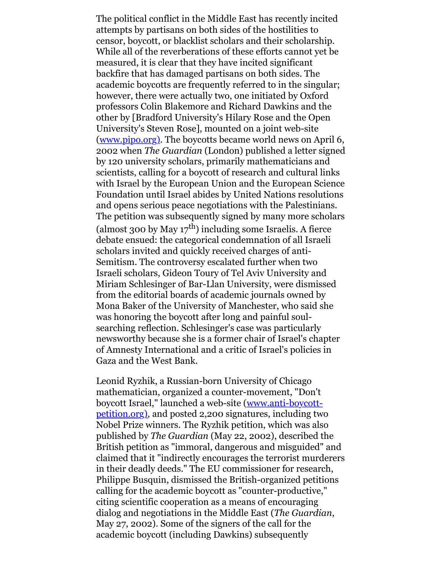The political conflict in the Middle East has recently incited attempts by partisans on both sides of the hostilities to censor, boycott, or blacklist scholars and their scholarship. While all of the reverberations of these efforts cannot yet be measured, it is clear that they have incited significant backfire that has damaged partisans on both sides. The academic boycotts are frequently referred to in the singular; however, there were actually two, one initiated by Oxford professors Colin Blakemore and Richard Dawkins and the other by [Bradford University's Hilary Rose and the Open University's Steven Rose], mounted on a joint web-site [\(www.pipo.org\).](http://www.pipo.org/) The boycotts became world news on April 6, 2002 when *The Guardian* (London) published a letter signed by 120 university scholars, primarily mathematicians and scientists, calling for a boycott of research and cultural links with Israel by the European Union and the European Science Foundation until Israel abides by United Nations resolutions and opens serious peace negotiations with the Palestinians. The petition was subsequently signed by many more scholars (almost 300 by May  $17<sup>th</sup>$ ) including some Israelis. A fierce debate ensued: the categorical condemnation of all Israeli scholars invited and quickly received charges of anti-Semitism. The controversy escalated further when two Israeli scholars, Gideon Toury of Tel Aviv University and Miriam Schlesinger of Bar-Llan University, were dismissed from the editorial boards of academic journals owned by Mona Baker of the University of Manchester, who said she was honoring the boycott after long and painful soulsearching reflection. Schlesinger's case was particularly newsworthy because she is a former chair of Israel's chapter of Amnesty International and a critic of Israel's policies in Gaza and the West Bank.

Leonid Ryzhik, a Russian-born University of Chicago mathematician, organized a counter-movement, "Don't boycott Israel," launched a web-site (www.anti-boycott[petition.org\), and posted 2,200 signatures, including tw](http://www.anti-boycott-petition.org/)o Nobel Prize winners. The Ryzhik petition, which was also published by *The Guardian* (May 22, 2002), described the British petition as "immoral, dangerous and misguided" and claimed that it "indirectly encourages the terrorist murderers in their deadly deeds." The EU commissioner for research, Philippe Busquin, dismissed the British-organized petitions calling for the academic boycott as "counter-productive," citing scientific cooperation as a means of encouraging dialog and negotiations in the Middle East (*The Guardian*, May 27, 2002). Some of the signers of the call for the academic boycott (including Dawkins) subsequently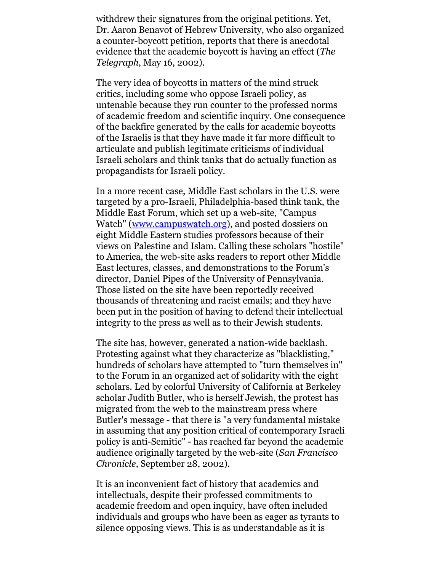withdrew their signatures from the original petitions. Yet, Dr. Aaron Benavot of Hebrew University, who also organized a counter-boycott petition, reports that there is anecdotal evidence that the academic boycott is having an effect (*The Telegraph*, May 16, 2002).

The very idea of boycotts in matters of the mind struck critics, including some who oppose Israeli policy, as untenable because they run counter to the professed norms of academic freedom and scientific inquiry. One consequence of the backfire generated by the calls for academic boycotts of the Israelis is that they have made it far more difficult to articulate and publish legitimate criticisms of individual Israeli scholars and think tanks that do actually function as propagandists for Israeli policy.

In a more recent case, Middle East scholars in the U.S. were targeted by a pro-Israeli, Philadelphia-based think tank, the Middle East Forum, which set up a web-site, "Campus Watch" ([www.campuswatch.org\)](http://www.campus-watch.org/), and posted dossiers on eight Middle Eastern studies professors because of their views on Palestine and Islam. Calling these scholars "hostile" to America, the web-site asks readers to report other Middle East lectures, classes, and demonstrations to the Forum's director, Daniel Pipes of the University of Pennsylvania. Those listed on the site have been reportedly received thousands of threatening and racist emails; and they have been put in the position of having to defend their intellectual integrity to the press as well as to their Jewish students.

The site has, however, generated a nation-wide backlash. Protesting against what they characterize as "blacklisting," hundreds of scholars have attempted to "turn themselves in" to the Forum in an organized act of solidarity with the eight scholars. Led by colorful University of California at Berkeley scholar Judith Butler, who is herself Jewish, the protest has migrated from the web to the mainstream press where Butler's message - that there is "a very fundamental mistake in assuming that any position critical of contemporary Israeli policy is anti-Semitic" - has reached far beyond the academic audience originally targeted by the web-site (*San Francisco Chronicle*, September 28, 2002).

It is an inconvenient fact of history that academics and intellectuals, despite their professed commitments to academic freedom and open inquiry, have often included individuals and groups who have been as eager as tyrants to silence opposing views. This is as understandable as it is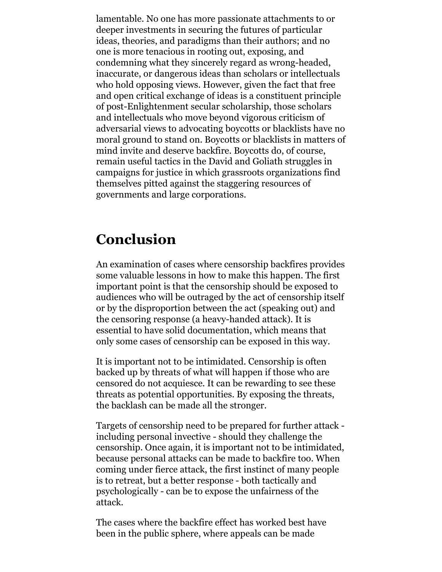lamentable. No one has more passionate attachments to or deeper investments in securing the futures of particular ideas, theories, and paradigms than their authors; and no one is more tenacious in rooting out, exposing, and condemning what they sincerely regard as wrong-headed, inaccurate, or dangerous ideas than scholars or intellectuals who hold opposing views. However, given the fact that free and open critical exchange of ideas is a constituent principle of post-Enlightenment secular scholarship, those scholars and intellectuals who move beyond vigorous criticism of adversarial views to advocating boycotts or blacklists have no moral ground to stand on. Boycotts or blacklists in matters of mind invite and deserve backfire. Boycotts do, of course, remain useful tactics in the David and Goliath struggles in campaigns for justice in which grassroots organizations find themselves pitted against the staggering resources of governments and large corporations.

## **Conclusion**

An examination of cases where censorship backfires provides some valuable lessons in how to make this happen. The first important point is that the censorship should be exposed to audiences who will be outraged by the act of censorship itself or by the disproportion between the act (speaking out) and the censoring response (a heavy-handed attack). It is essential to have solid documentation, which means that only some cases of censorship can be exposed in this way.

It is important not to be intimidated. Censorship is often backed up by threats of what will happen if those who are censored do not acquiesce. It can be rewarding to see these threats as potential opportunities. By exposing the threats, the backlash can be made all the stronger.

Targets of censorship need to be prepared for further attack including personal invective - should they challenge the censorship. Once again, it is important not to be intimidated, because personal attacks can be made to backfire too. When coming under fierce attack, the first instinct of many people is to retreat, but a better response - both tactically and psychologically - can be to expose the unfairness of the attack.

The cases where the backfire effect has worked best have been in the public sphere, where appeals can be made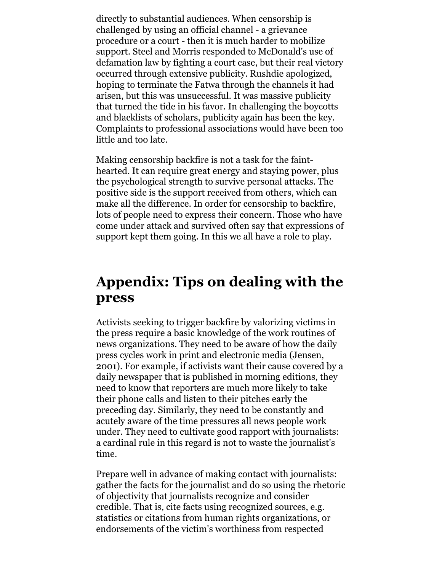directly to substantial audiences. When censorship is challenged by using an official channel - a grievance procedure or a court - then it is much harder to mobilize support. Steel and Morris responded to McDonald's use of defamation law by fighting a court case, but their real victory occurred through extensive publicity. Rushdie apologized, hoping to terminate the Fatwa through the channels it had arisen, but this was unsuccessful. It was massive publicity that turned the tide in his favor. In challenging the boycotts and blacklists of scholars, publicity again has been the key. Complaints to professional associations would have been too little and too late.

Making censorship backfire is not a task for the fainthearted. It can require great energy and staying power, plus the psychological strength to survive personal attacks. The positive side is the support received from others, which can make all the difference. In order for censorship to backfire, lots of people need to express their concern. Those who have come under attack and survived often say that expressions of support kept them going. In this we all have a role to play.

#### **Appendix: Tips on dealing with the press**

Activists seeking to trigger backfire by valorizing victims in the press require a basic knowledge of the work routines of news organizations. They need to be aware of how the daily press cycles work in print and electronic media (Jensen, 2001). For example, if activists want their cause covered by a daily newspaper that is published in morning editions, they need to know that reporters are much more likely to take their phone calls and listen to their pitches early the preceding day. Similarly, they need to be constantly and acutely aware of the time pressures all news people work under. They need to cultivate good rapport with journalists: a cardinal rule in this regard is not to waste the journalist's time.

Prepare well in advance of making contact with journalists: gather the facts for the journalist and do so using the rhetoric of objectivity that journalists recognize and consider credible. That is, cite facts using recognized sources, e.g. statistics or citations from human rights organizations, or endorsements of the victim's worthiness from respected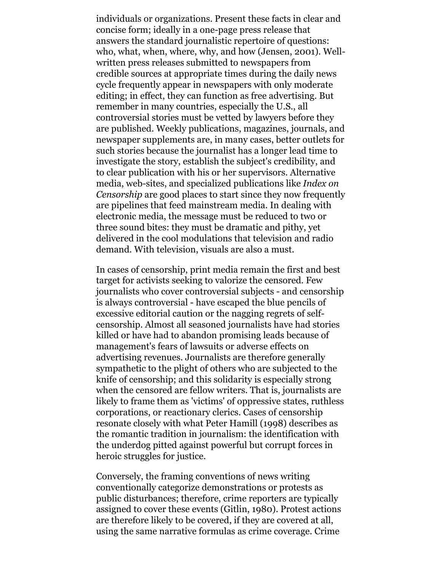individuals or organizations. Present these facts in clear and concise form; ideally in a one-page press release that answers the standard journalistic repertoire of questions: who, what, when, where, why, and how (Jensen, 2001). Wellwritten press releases submitted to newspapers from credible sources at appropriate times during the daily news cycle frequently appear in newspapers with only moderate editing; in effect, they can function as free advertising. But remember in many countries, especially the U.S., all controversial stories must be vetted by lawyers before they are published. Weekly publications, magazines, journals, and newspaper supplements are, in many cases, better outlets for such stories because the journalist has a longer lead time to investigate the story, establish the subject's credibility, and to clear publication with his or her supervisors. Alternative media, web-sites, and specialized publications like *Index on Censorship* are good places to start since they now frequently are pipelines that feed mainstream media. In dealing with electronic media, the message must be reduced to two or three sound bites: they must be dramatic and pithy, yet delivered in the cool modulations that television and radio demand. With television, visuals are also a must.

In cases of censorship, print media remain the first and best target for activists seeking to valorize the censored. Few journalists who cover controversial subjects - and censorship is always controversial - have escaped the blue pencils of excessive editorial caution or the nagging regrets of selfcensorship. Almost all seasoned journalists have had stories killed or have had to abandon promising leads because of management's fears of lawsuits or adverse effects on advertising revenues. Journalists are therefore generally sympathetic to the plight of others who are subjected to the knife of censorship; and this solidarity is especially strong when the censored are fellow writers. That is, journalists are likely to frame them as 'victims' of oppressive states, ruthless corporations, or reactionary clerics. Cases of censorship resonate closely with what Peter Hamill (1998) describes as the romantic tradition in journalism: the identification with the underdog pitted against powerful but corrupt forces in heroic struggles for justice.

Conversely, the framing conventions of news writing conventionally categorize demonstrations or protests as public disturbances; therefore, crime reporters are typically assigned to cover these events (Gitlin, 1980). Protest actions are therefore likely to be covered, if they are covered at all, using the same narrative formulas as crime coverage. Crime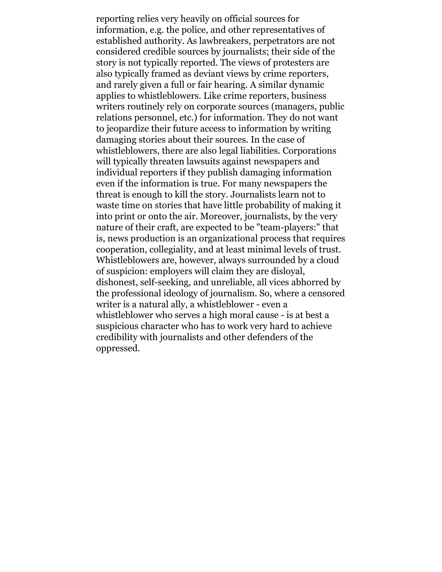reporting relies very heavily on official sources for information, e.g. the police, and other representatives of established authority. As lawbreakers, perpetrators are not considered credible sources by journalists; their side of the story is not typically reported. The views of protesters are also typically framed as deviant views by crime reporters, and rarely given a full or fair hearing. A similar dynamic applies to whistleblowers. Like crime reporters, business writers routinely rely on corporate sources (managers, public relations personnel, etc.) for information. They do not want to jeopardize their future access to information by writing damaging stories about their sources. In the case of whistleblowers, there are also legal liabilities. Corporations will typically threaten lawsuits against newspapers and individual reporters if they publish damaging information even if the information is true. For many newspapers the threat is enough to kill the story. Journalists learn not to waste time on stories that have little probability of making it into print or onto the air. Moreover, journalists, by the very nature of their craft, are expected to be "team-players:" that is, news production is an organizational process that requires cooperation, collegiality, and at least minimal levels of trust. Whistleblowers are, however, always surrounded by a cloud of suspicion: employers will claim they are disloyal, dishonest, self-seeking, and unreliable, all vices abhorred by the professional ideology of journalism. So, where a censored writer is a natural ally, a whistleblower - even a whistleblower who serves a high moral cause - is at best a suspicious character who has to work very hard to achieve credibility with journalists and other defenders of the oppressed.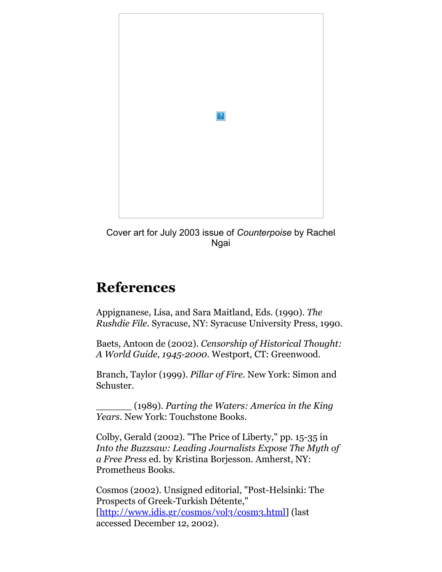

Cover art for July 2003 issue of *Counterpoise* by Rachel **Ngai** 

## **References**

Appignanese, Lisa, and Sara Maitland, Eds. (1990). *The Rushdie File*. Syracuse, NY: Syracuse University Press, 1990.

Baets, Antoon de (2002). *Censorship of Historical Thought: A World Guide, 1945-2000.* Westport, CT: Greenwood.

Branch, Taylor (1999). *Pillar of Fire.* New York: Simon and Schuster.

\_\_\_\_\_\_ (1989). *Parting the Waters: America in the King Years*. New York: Touchstone Books.

Colby, Gerald (2002). "The Price of Liberty," pp. 15-35 in *Into the Buzzsaw: Leading Journalists Expose The Myth of a Free Press* ed. by Kristina Borjesson. Amherst, NY: Prometheus Books.

Cosmos (2002). Unsigned editorial, "Post-Helsinki: The Prospects of Greek-Turkish Détente," [\[http://www.idis.gr/cosmos/vol3/cosm3.html\]](http://www.idis.gr/cosmos/vol3/cosm3.html) (last accessed December 12, 2002).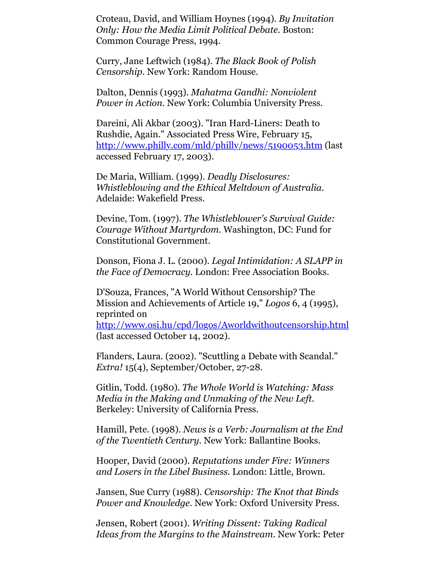Croteau, David, and William Hoynes (1994). *By Invitation Only: How the Media Limit Political Debate*. Boston: Common Courage Press, 1994.

Curry, Jane Leftwich (1984). *The Black Book of Polish Censorship*. New York: Random House.

Dalton, Dennis (1993). *Mahatma Gandhi: Nonviolent Power in Action.* New York: Columbia University Press.

Dareini, Ali Akbar (2003). "Iran Hard-Liners: Death to Rushdie, Again." Associated Press Wire, February 15, <http://www.philly.com/mld/philly/news/5190053.htm>(last accessed February 17, 2003).

De Maria, William. (1999). *Deadly Disclosures: Whistleblowing and the Ethical Meltdown of Australia.* Adelaide: Wakefield Press.

Devine, Tom. (1997). *The Whistleblower's Survival Guide: Courage Without Martyrdom.* Washington, DC: Fund for Constitutional Government.

Donson, Fiona J. L. (2000). *Legal Intimidation: A SLAPP in the Face of Democracy.* London: Free Association Books.

D'Souza, Frances, "A World Without Censorship? The Mission and Achievements of Article 19," *Logos* 6, 4 (1995), reprinted on

<http://www.osi.hu/cpd/logos/Aworldwithoutcensorship.html> (last accessed October 14, 2002).

Flanders, Laura. (2002). "Scuttling a Debate with Scandal." *Extra!* 15(4), September/October, 27-28.

Gitlin, Todd. (1980). *The Whole World is Watching: Mass Media in the Making and Unmaking of the New Left*. Berkeley: University of California Press.

Hamill, Pete. (1998). *News is a Verb: Journalism at the End of the Twentieth Century*. New York: Ballantine Books.

Hooper, David (2000). *Reputations under Fire: Winners and Losers in the Libel Business.* London: Little, Brown.

Jansen, Sue Curry (1988). *Censorship: The Knot that Binds Power and Knowledge*. New York: Oxford University Press.

Jensen, Robert (2001). *Writing Dissent: Taking Radical Ideas from the Margins to the Mainstream*. New York: Peter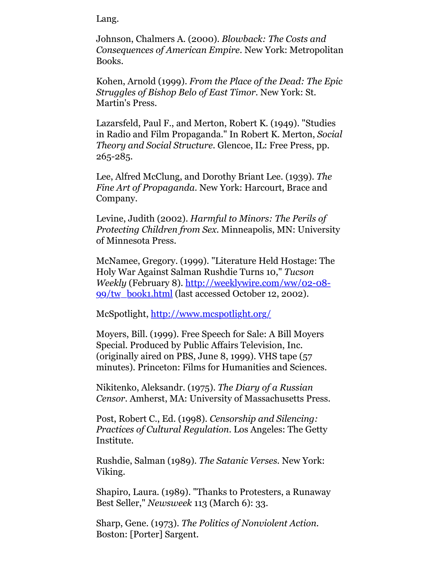Lang.

Johnson, Chalmers A. (2000). *Blowback: The Costs and Consequences of American Empire*. New York: Metropolitan Books.

Kohen, Arnold (1999). *From the Place of the Dead: The Epic Struggles of Bishop Belo of East Timor.* New York: St. Martin's Press.

Lazarsfeld, Paul F., and Merton, Robert K. (1949). "Studies in Radio and Film Propaganda." In Robert K. Merton, *Social Theory and Social Structure.* Glencoe, IL: Free Press, pp. 265-285.

Lee, Alfred McClung, and Dorothy Briant Lee. (1939). *The Fine Art of Propaganda*. New York: Harcourt, Brace and Company.

Levine, Judith (2002). *Harmful to Minors: The Perils of Protecting Children from Sex.* Minneapolis, MN: University of Minnesota Press.

McNamee, Gregory. (1999). "Literature Held Hostage: The Holy War Against Salman Rushdie Turns 10," *Tucson Weekly* [\(February 8\). http://weeklywire.com/ww/02-08-](http://weeklywire.com/ww/02-08-99/tw_book1.html) 99/tw\_book1.html (last accessed October 12, 2002).

McSpotlight,<http://www.mcspotlight.org/>

Moyers, Bill. (1999). Free Speech for Sale: A Bill Moyers Special. Produced by Public Affairs Television, Inc. (originally aired on PBS, June 8, 1999). VHS tape (57 minutes). Princeton: Films for Humanities and Sciences.

Nikitenko, Aleksandr. (1975). *The Diary of a Russian Censor*. Amherst, MA: University of Massachusetts Press.

Post, Robert C., Ed. (1998). *Censorship and Silencing: Practices of Cultural Regulation*. Los Angeles: The Getty Institute.

Rushdie, Salman (1989). *The Satanic Verses.* New York: Viking.

Shapiro, Laura. (1989). "Thanks to Protesters, a Runaway Best Seller," *Newsweek* 113 (March 6): 33.

Sharp, Gene. (1973). *The Politics of Nonviolent Action.* Boston: [Porter] Sargent.